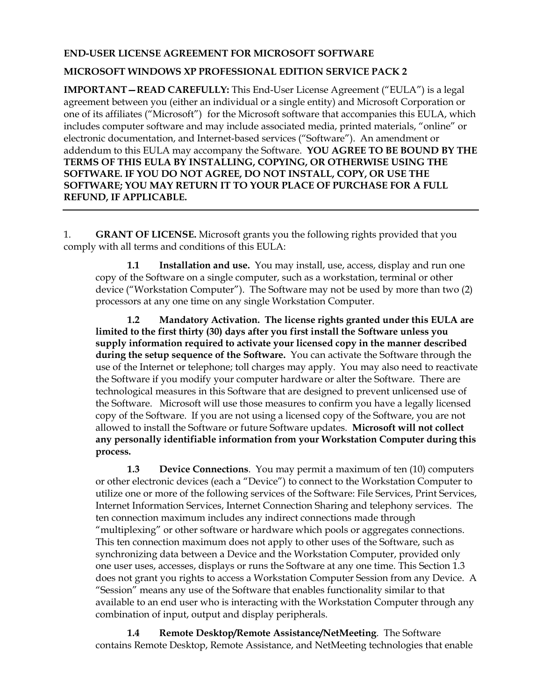### END-USER LICENSE AGREEMENT FOR MICROSOFT SOFTWARE

### MICROSOFT WINDOWS XP PROFESSIONAL EDITION SERVICE PACK 2

IMPORTANT—READ CAREFULLY: This End-User License Agreement ("EULA") is a legal agreement between you (either an individual or a single entity) and Microsoft Corporation or one of its affiliates ("Microsoft") for the Microsoft software that accompanies this EULA, which includes computer software and may include associated media, printed materials, "online" or electronic documentation, and Internet-based services ("Software"). An amendment or addendum to this EULA may accompany the Software. YOU AGREE TO BE BOUND BY THE TERMS OF THIS EULA BY INSTALLING, COPYING, OR OTHERWISE USING THE SOFTWARE. IF YOU DO NOT AGREE, DO NOT INSTALL, COPY, OR USE THE SOFTWARE; YOU MAY RETURN IT TO YOUR PLACE OF PURCHASE FOR A FULL REFUND, IF APPLICABLE.

1. GRANT OF LICENSE. Microsoft grants you the following rights provided that you comply with all terms and conditions of this EULA:

**1.1** Installation and use. You may install, use, access, display and run one copy of the Software on a single computer, such as a workstation, terminal or other device ("Workstation Computer"). The Software may not be used by more than two (2) processors at any one time on any single Workstation Computer.

 1.2 Mandatory Activation. The license rights granted under this EULA are limited to the first thirty (30) days after you first install the Software unless you supply information required to activate your licensed copy in the manner described during the setup sequence of the Software. You can activate the Software through the use of the Internet or telephone; toll charges may apply. You may also need to reactivate the Software if you modify your computer hardware or alter the Software. There are technological measures in this Software that are designed to prevent unlicensed use of the Software. Microsoft will use those measures to confirm you have a legally licensed copy of the Software. If you are not using a licensed copy of the Software, you are not allowed to install the Software or future Software updates. Microsoft will not collect any personally identifiable information from your Workstation Computer during this process.

**1.3** Device Connections. You may permit a maximum of ten (10) computers or other electronic devices (each a "Device") to connect to the Workstation Computer to utilize one or more of the following services of the Software: File Services, Print Services, Internet Information Services, Internet Connection Sharing and telephony services. The ten connection maximum includes any indirect connections made through "multiplexing" or other software or hardware which pools or aggregates connections. This ten connection maximum does not apply to other uses of the Software, such as synchronizing data between a Device and the Workstation Computer, provided only one user uses, accesses, displays or runs the Software at any one time. This Section 1.3 does not grant you rights to access a Workstation Computer Session from any Device. A "Session" means any use of the Software that enables functionality similar to that available to an end user who is interacting with the Workstation Computer through any combination of input, output and display peripherals.

 1.4 Remote Desktop/Remote Assistance/NetMeeting. The Software contains Remote Desktop, Remote Assistance, and NetMeeting technologies that enable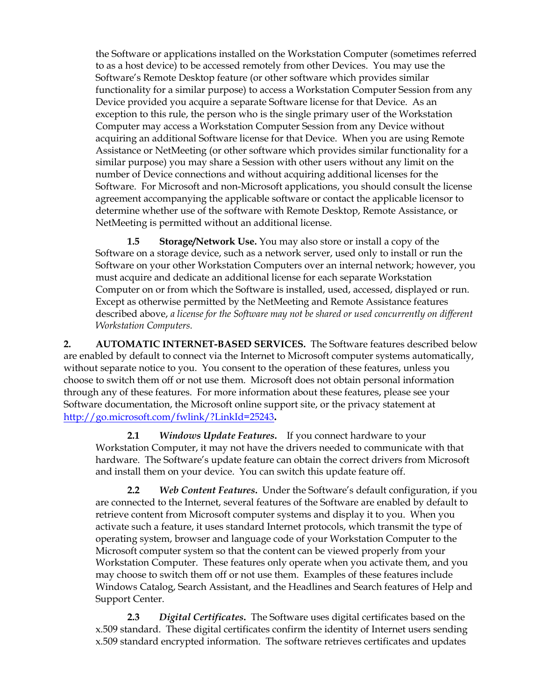the Software or applications installed on the Workstation Computer (sometimes referred to as a host device) to be accessed remotely from other Devices. You may use the Software's Remote Desktop feature (or other software which provides similar functionality for a similar purpose) to access a Workstation Computer Session from any Device provided you acquire a separate Software license for that Device. As an exception to this rule, the person who is the single primary user of the Workstation Computer may access a Workstation Computer Session from any Device without acquiring an additional Software license for that Device. When you are using Remote Assistance or NetMeeting (or other software which provides similar functionality for a similar purpose) you may share a Session with other users without any limit on the number of Device connections and without acquiring additional licenses for the Software. For Microsoft and non-Microsoft applications, you should consult the license agreement accompanying the applicable software or contact the applicable licensor to determine whether use of the software with Remote Desktop, Remote Assistance, or NetMeeting is permitted without an additional license.

1.5 Storage/Network Use. You may also store or install a copy of the Software on a storage device, such as a network server, used only to install or run the Software on your other Workstation Computers over an internal network; however, you must acquire and dedicate an additional license for each separate Workstation Computer on or from which the Software is installed, used, accessed, displayed or run. Except as otherwise permitted by the NetMeeting and Remote Assistance features described above, a license for the Software may not be shared or used concurrently on different Workstation Computers.

2. AUTOMATIC INTERNET-BASED SERVICES. The Software features described below are enabled by default to connect via the Internet to Microsoft computer systems automatically, without separate notice to you. You consent to the operation of these features, unless you choose to switch them off or not use them. Microsoft does not obtain personal information through any of these features. For more information about these features, please see your Software documentation, the Microsoft online support site, or the privacy statement at http://go.microsoft.com/fwlink/?LinkId=25243.

2.1 Windows Update Features. If you connect hardware to your Workstation Computer, it may not have the drivers needed to communicate with that hardware. The Software's update feature can obtain the correct drivers from Microsoft and install them on your device. You can switch this update feature off.

2.2 Web Content Features. Under the Software's default configuration, if you are connected to the Internet, several features of the Software are enabled by default to retrieve content from Microsoft computer systems and display it to you. When you activate such a feature, it uses standard Internet protocols, which transmit the type of operating system, browser and language code of your Workstation Computer to the Microsoft computer system so that the content can be viewed properly from your Workstation Computer. These features only operate when you activate them, and you may choose to switch them off or not use them. Examples of these features include Windows Catalog, Search Assistant, and the Headlines and Search features of Help and Support Center.

2.3 Digital Certificates. The Software uses digital certificates based on the x.509 standard. These digital certificates confirm the identity of Internet users sending x.509 standard encrypted information. The software retrieves certificates and updates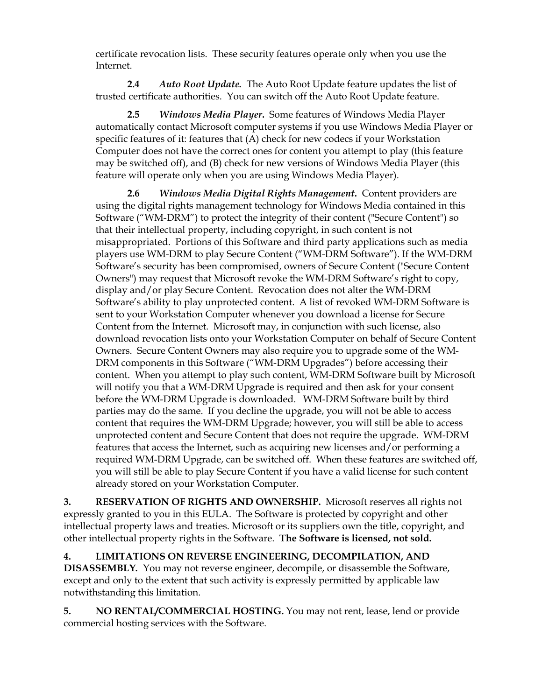certificate revocation lists. These security features operate only when you use the Internet.

2.4 Auto Root Update. The Auto Root Update feature updates the list of trusted certificate authorities. You can switch off the Auto Root Update feature.

2.5 Windows Media Player. Some features of Windows Media Player automatically contact Microsoft computer systems if you use Windows Media Player or specific features of it: features that (A) check for new codecs if your Workstation Computer does not have the correct ones for content you attempt to play (this feature may be switched off), and (B) check for new versions of Windows Media Player (this feature will operate only when you are using Windows Media Player).

2.6 Windows Media Digital Rights Management. Content providers are using the digital rights management technology for Windows Media contained in this Software ("WM-DRM") to protect the integrity of their content ("Secure Content") so that their intellectual property, including copyright, in such content is not misappropriated. Portions of this Software and third party applications such as media players use WM-DRM to play Secure Content ("WM-DRM Software"). If the WM-DRM Software's security has been compromised, owners of Secure Content ("Secure Content Owners") may request that Microsoft revoke the WM-DRM Software's right to copy, display and/or play Secure Content. Revocation does not alter the WM-DRM Software's ability to play unprotected content. A list of revoked WM-DRM Software is sent to your Workstation Computer whenever you download a license for Secure Content from the Internet. Microsoft may, in conjunction with such license, also download revocation lists onto your Workstation Computer on behalf of Secure Content Owners. Secure Content Owners may also require you to upgrade some of the WM-DRM components in this Software ("WM-DRM Upgrades") before accessing their content. When you attempt to play such content, WM-DRM Software built by Microsoft will notify you that a WM-DRM Upgrade is required and then ask for your consent before the WM-DRM Upgrade is downloaded. WM-DRM Software built by third parties may do the same. If you decline the upgrade, you will not be able to access content that requires the WM-DRM Upgrade; however, you will still be able to access unprotected content and Secure Content that does not require the upgrade. WM-DRM features that access the Internet, such as acquiring new licenses and/or performing a required WM-DRM Upgrade, can be switched off. When these features are switched off, you will still be able to play Secure Content if you have a valid license for such content already stored on your Workstation Computer.

3. RESERVATION OF RIGHTS AND OWNERSHIP. Microsoft reserves all rights not expressly granted to you in this EULA. The Software is protected by copyright and other intellectual property laws and treaties. Microsoft or its suppliers own the title, copyright, and other intellectual property rights in the Software. The Software is licensed, not sold.

4. LIMITATIONS ON REVERSE ENGINEERING, DECOMPILATION, AND DISASSEMBLY. You may not reverse engineer, decompile, or disassemble the Software, except and only to the extent that such activity is expressly permitted by applicable law notwithstanding this limitation.

5. NO RENTAL/COMMERCIAL HOSTING. You may not rent, lease, lend or provide commercial hosting services with the Software.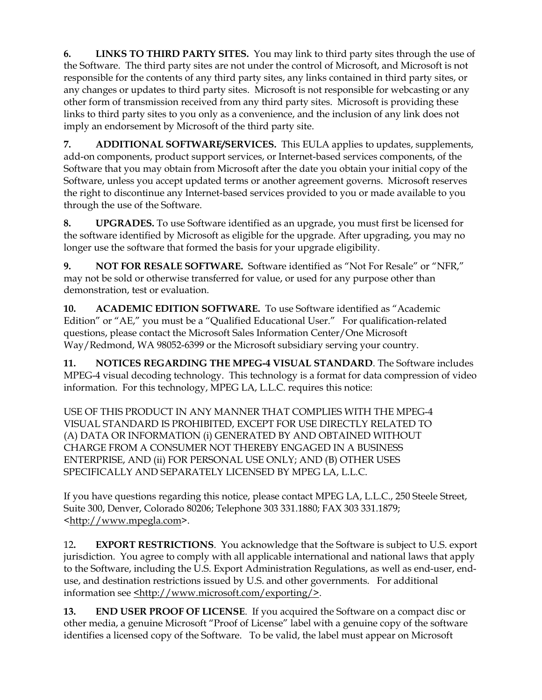6. LINKS TO THIRD PARTY SITES. You may link to third party sites through the use of the Software. The third party sites are not under the control of Microsoft, and Microsoft is not responsible for the contents of any third party sites, any links contained in third party sites, or any changes or updates to third party sites. Microsoft is not responsible for webcasting or any other form of transmission received from any third party sites. Microsoft is providing these links to third party sites to you only as a convenience, and the inclusion of any link does not imply an endorsement by Microsoft of the third party site.

7. ADDITIONAL SOFTWARE/SERVICES. This EULA applies to updates, supplements, add-on components, product support services, or Internet-based services components, of the Software that you may obtain from Microsoft after the date you obtain your initial copy of the Software, unless you accept updated terms or another agreement governs. Microsoft reserves the right to discontinue any Internet-based services provided to you or made available to you through the use of the Software.

8. UPGRADES. To use Software identified as an upgrade, you must first be licensed for the software identified by Microsoft as eligible for the upgrade. After upgrading, you may no longer use the software that formed the basis for your upgrade eligibility.

9. NOT FOR RESALE SOFTWARE. Software identified as "Not For Resale" or "NFR," may not be sold or otherwise transferred for value, or used for any purpose other than demonstration, test or evaluation.

10. ACADEMIC EDITION SOFTWARE. To use Software identified as "Academic Edition" or "AE," you must be a "Qualified Educational User." For qualification-related questions, please contact the Microsoft Sales Information Center/One Microsoft Way/Redmond, WA 98052-6399 or the Microsoft subsidiary serving your country.

11. NOTICES REGARDING THE MPEG-4 VISUAL STANDARD. The Software includes MPEG-4 visual decoding technology. This technology is a format for data compression of video information. For this technology, MPEG LA, L.L.C. requires this notice:

USE OF THIS PRODUCT IN ANY MANNER THAT COMPLIES WITH THE MPEG-4 VISUAL STANDARD IS PROHIBITED, EXCEPT FOR USE DIRECTLY RELATED TO (A) DATA OR INFORMATION (i) GENERATED BY AND OBTAINED WITHOUT CHARGE FROM A CONSUMER NOT THEREBY ENGAGED IN A BUSINESS ENTERPRISE, AND (ii) FOR PERSONAL USE ONLY; AND (B) OTHER USES SPECIFICALLY AND SEPARATELY LICENSED BY MPEG LA, L.L.C.

If you have questions regarding this notice, please contact MPEG LA, L.L.C., 250 Steele Street, Suite 300, Denver, Colorado 80206; Telephone 303 331.1880; FAX 303 331.1879; <http://www.mpegla.com>.

12. EXPORT RESTRICTIONS. You acknowledge that the Software is subject to U.S. export jurisdiction. You agree to comply with all applicable international and national laws that apply to the Software, including the U.S. Export Administration Regulations, as well as end-user, enduse, and destination restrictions issued by U.S. and other governments. For additional information see <u><http://www.microsoft.com/exporting/></u>.

13. END USER PROOF OF LICENSE. If you acquired the Software on a compact disc or other media, a genuine Microsoft "Proof of License" label with a genuine copy of the software identifies a licensed copy of the Software. To be valid, the label must appear on Microsoft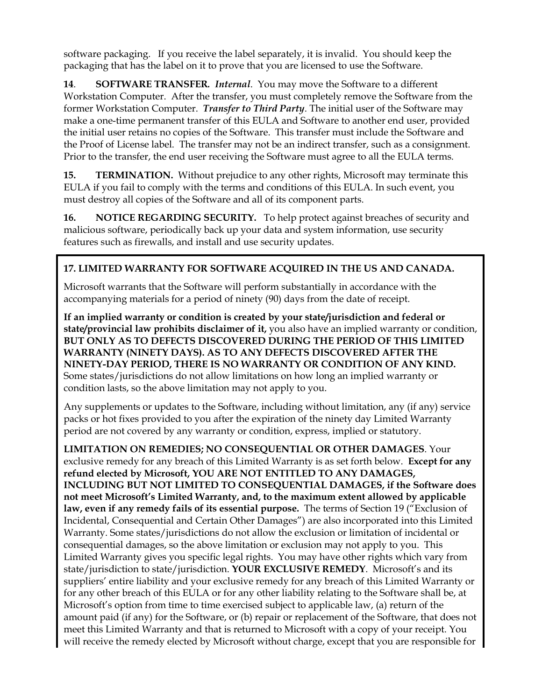software packaging. If you receive the label separately, it is invalid. You should keep the packaging that has the label on it to prove that you are licensed to use the Software.

14. SOFTWARE TRANSFER. Internal. You may move the Software to a different Workstation Computer. After the transfer, you must completely remove the Software from the former Workstation Computer. Transfer to Third Party. The initial user of the Software may make a one-time permanent transfer of this EULA and Software to another end user, provided the initial user retains no copies of the Software. This transfer must include the Software and the Proof of License label. The transfer may not be an indirect transfer, such as a consignment. Prior to the transfer, the end user receiving the Software must agree to all the EULA terms.

15. TERMINATION. Without prejudice to any other rights, Microsoft may terminate this EULA if you fail to comply with the terms and conditions of this EULA. In such event, you must destroy all copies of the Software and all of its component parts.

16. NOTICE REGARDING SECURITY. To help protect against breaches of security and malicious software, periodically back up your data and system information, use security features such as firewalls, and install and use security updates.

## 17. LIMITED WARRANTY FOR SOFTWARE ACQUIRED IN THE US AND CANADA.

Microsoft warrants that the Software will perform substantially in accordance with the accompanying materials for a period of ninety (90) days from the date of receipt.

If an implied warranty or condition is created by your state/jurisdiction and federal or state/provincial law prohibits disclaimer of it, you also have an implied warranty or condition, BUT ONLY AS TO DEFECTS DISCOVERED DURING THE PERIOD OF THIS LIMITED WARRANTY (NINETY DAYS). AS TO ANY DEFECTS DISCOVERED AFTER THE NINETY-DAY PERIOD, THERE IS NO WARRANTY OR CONDITION OF ANY KIND. Some states/jurisdictions do not allow limitations on how long an implied warranty or condition lasts, so the above limitation may not apply to you.

Any supplements or updates to the Software, including without limitation, any (if any) service packs or hot fixes provided to you after the expiration of the ninety day Limited Warranty period are not covered by any warranty or condition, express, implied or statutory.

LIMITATION ON REMEDIES; NO CONSEQUENTIAL OR OTHER DAMAGES. Your exclusive remedy for any breach of this Limited Warranty is as set forth below. **Except for any** refund elected by Microsoft, YOU ARE NOT ENTITLED TO ANY DAMAGES, INCLUDING BUT NOT LIMITED TO CONSEQUENTIAL DAMAGES, if the Software does not meet Microsoft's Limited Warranty, and, to the maximum extent allowed by applicable law, even if any remedy fails of its essential purpose. The terms of Section 19 ("Exclusion of Incidental, Consequential and Certain Other Damages") are also incorporated into this Limited Warranty. Some states/jurisdictions do not allow the exclusion or limitation of incidental or consequential damages, so the above limitation or exclusion may not apply to you. This Limited Warranty gives you specific legal rights. You may have other rights which vary from state/jurisdiction to state/jurisdiction. YOUR EXCLUSIVE REMEDY. Microsoft's and its suppliers' entire liability and your exclusive remedy for any breach of this Limited Warranty or for any other breach of this EULA or for any other liability relating to the Software shall be, at Microsoft's option from time to time exercised subject to applicable law, (a) return of the amount paid (if any) for the Software, or (b) repair or replacement of the Software, that does not meet this Limited Warranty and that is returned to Microsoft with a copy of your receipt. You will receive the remedy elected by Microsoft without charge, except that you are responsible for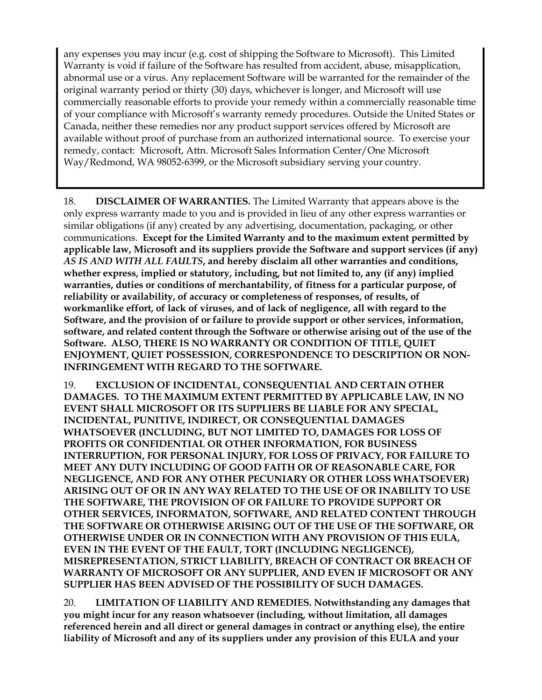any expenses you may incur (e.g. cost of shipping the Software to Microsoft). This Limited Warranty is void if failure of the Software has resulted from accident, abuse, misapplication, abnormal use or a virus. Any replacement Software will be warranted for the remainder of the original warranty period or thirty (30) days, whichever is longer, and Microsoft will use commercially reasonable efforts to provide your remedy within a commercially reasonable time of your compliance with Microsoft's warranty remedy procedures. Outside the United States or Canada, neither these remedies nor any product support services offered by Microsoft are available without proof of purchase from an authorized international source. To exercise your remedy, contact: Microsoft, Attn. Microsoft Sales Information Center/One Microsoft Way/Redmond, WA 98052-6399, or the Microsoft subsidiary serving your country.

18. **DISCLAIMER OF WARRANTIES.** The Limited Warranty that appears above is the only express warranty made to you and is provided in lieu of any other express warranties or similar obligations (if any) created by any advertising, documentation, packaging, or other communications. Except for the Limited Warranty and to the maximum extent permitted by applicable law, Microsoft and its suppliers provide the Software and support services (if any) AS IS AND WITH ALL FAULTS, and hereby disclaim all other warranties and conditions, whether express, implied or statutory, including, but not limited to, any (if any) implied warranties, duties or conditions of merchantability, of fitness for a particular purpose, of reliability or availability, of accuracy or completeness of responses, of results, of workmanlike effort, of lack of viruses, and of lack of negligence, all with regard to the Software, and the provision of or failure to provide support or other services, information, software, and related content through the Software or otherwise arising out of the use of the Software. ALSO, THERE IS NO WARRANTY OR CONDITION OF TITLE, QUIET ENJOYMENT, QUIET POSSESSION, CORRESPONDENCE TO DESCRIPTION OR NON-INFRINGEMENT WITH REGARD TO THE SOFTWARE.

19. EXCLUSION OF INCIDENTAL, CONSEQUENTIAL AND CERTAIN OTHER DAMAGES. TO THE MAXIMUM EXTENT PERMITTED BY APPLICABLE LAW, IN NO EVENT SHALL MICROSOFT OR ITS SUPPLIERS BE LIABLE FOR ANY SPECIAL, INCIDENTAL, PUNITIVE, INDIRECT, OR CONSEQUENTIAL DAMAGES WHATSOEVER (INCLUDING, BUT NOT LIMITED TO, DAMAGES FOR LOSS OF PROFITS OR CONFIDENTIAL OR OTHER INFORMATION, FOR BUSINESS INTERRUPTION, FOR PERSONAL INJURY, FOR LOSS OF PRIVACY, FOR FAILURE TO MEET ANY DUTY INCLUDING OF GOOD FAITH OR OF REASONABLE CARE, FOR NEGLIGENCE, AND FOR ANY OTHER PECUNIARY OR OTHER LOSS WHATSOEVER) ARISING OUT OF OR IN ANY WAY RELATED TO THE USE OF OR INABILITY TO USE THE SOFTWARE, THE PROVISION OF OR FAILURE TO PROVIDE SUPPORT OR OTHER SERVICES, INFORMATON, SOFTWARE, AND RELATED CONTENT THROUGH THE SOFTWARE OR OTHERWISE ARISING OUT OF THE USE OF THE SOFTWARE, OR OTHERWISE UNDER OR IN CONNECTION WITH ANY PROVISION OF THIS EULA, EVEN IN THE EVENT OF THE FAULT, TORT (INCLUDING NEGLIGENCE), MISREPRESENTATION, STRICT LIABILITY, BREACH OF CONTRACT OR BREACH OF WARRANTY OF MICROSOFT OR ANY SUPPLIER, AND EVEN IF MICROSOFT OR ANY SUPPLIER HAS BEEN ADVISED OF THE POSSIBILITY OF SUCH DAMAGES.

20. LIMITATION OF LIABILITY AND REMEDIES. Notwithstanding any damages that you might incur for any reason whatsoever (including, without limitation, all damages referenced herein and all direct or general damages in contract or anything else), the entire liability of Microsoft and any of its suppliers under any provision of this EULA and your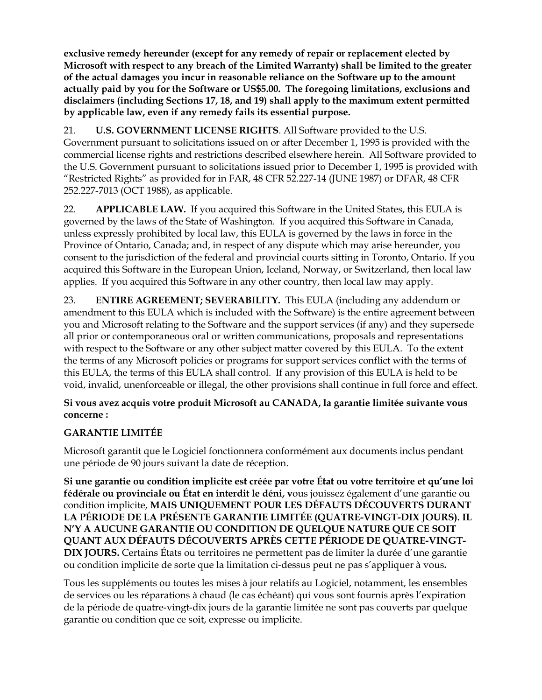exclusive remedy hereunder (except for any remedy of repair or replacement elected by Microsoft with respect to any breach of the Limited Warranty) shall be limited to the greater of the actual damages you incur in reasonable reliance on the Software up to the amount actually paid by you for the Software or US\$5.00. The foregoing limitations, exclusions and disclaimers (including Sections 17, 18, and 19) shall apply to the maximum extent permitted by applicable law, even if any remedy fails its essential purpose.

21. U.S. GOVERNMENT LICENSE RIGHTS. All Software provided to the U.S. Government pursuant to solicitations issued on or after December 1, 1995 is provided with the commercial license rights and restrictions described elsewhere herein. All Software provided to the U.S. Government pursuant to solicitations issued prior to December 1, 1995 is provided with "Restricted Rights" as provided for in FAR, 48 CFR 52.227-14 (JUNE 1987) or DFAR, 48 CFR 252.227-7013 (OCT 1988), as applicable.

22. APPLICABLE LAW. If you acquired this Software in the United States, this EULA is governed by the laws of the State of Washington. If you acquired this Software in Canada, unless expressly prohibited by local law, this EULA is governed by the laws in force in the Province of Ontario, Canada; and, in respect of any dispute which may arise hereunder, you consent to the jurisdiction of the federal and provincial courts sitting in Toronto, Ontario. If you acquired this Software in the European Union, Iceland, Norway, or Switzerland, then local law applies. If you acquired this Software in any other country, then local law may apply.

23. ENTIRE AGREEMENT; SEVERABILITY. This EULA (including any addendum or amendment to this EULA which is included with the Software) is the entire agreement between you and Microsoft relating to the Software and the support services (if any) and they supersede all prior or contemporaneous oral or written communications, proposals and representations with respect to the Software or any other subject matter covered by this EULA. To the extent the terms of any Microsoft policies or programs for support services conflict with the terms of this EULA, the terms of this EULA shall control. If any provision of this EULA is held to be void, invalid, unenforceable or illegal, the other provisions shall continue in full force and effect.

## Si vous avez acquis votre produit Microsoft au CANADA, la garantie limitée suivante vous concerne :

# GARANTIE LIMITÉE

Microsoft garantit que le Logiciel fonctionnera conformément aux documents inclus pendant une période de 90 jours suivant la date de réception.

Si une garantie ou condition implicite est créée par votre État ou votre territoire et qu'une loi fédérale ou provinciale ou État en interdit le déni, vous jouissez également d'une garantie ou condition implicite, MAIS UNIQUEMENT POUR LES DÉFAUTS DÉCOUVERTS DURANT LA PÉRIODE DE LA PRÉSENTE GARANTIE LIMITÉE (QUATRE-VINGT-DIX JOURS). IL N'Y A AUCUNE GARANTIE OU CONDITION DE QUELQUE NATURE QUE CE SOIT QUANT AUX DÉFAUTS DÉCOUVERTS APRÈS CETTE PÉRIODE DE QUATRE-VINGT-DIX JOURS. Certains États ou territoires ne permettent pas de limiter la durée d'une garantie ou condition implicite de sorte que la limitation ci-dessus peut ne pas s'appliquer à vous.

Tous les suppléments ou toutes les mises à jour relatifs au Logiciel, notamment, les ensembles de services ou les réparations à chaud (le cas échéant) qui vous sont fournis après l'expiration de la période de quatre-vingt-dix jours de la garantie limitée ne sont pas couverts par quelque garantie ou condition que ce soit, expresse ou implicite.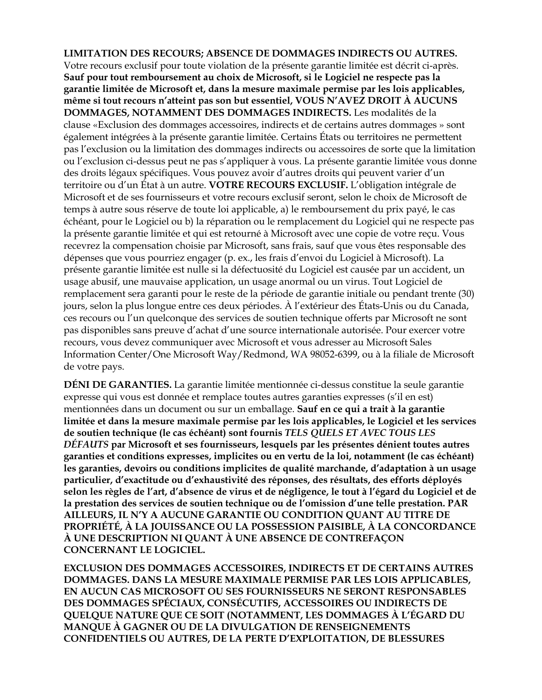LIMITATION DES RECOURS; ABSENCE DE DOMMAGES INDIRECTS OU AUTRES. Votre recours exclusif pour toute violation de la présente garantie limitée est décrit ci-après. Sauf pour tout remboursement au choix de Microsoft, si le Logiciel ne respecte pas la garantie limitée de Microsoft et, dans la mesure maximale permise par les lois applicables, même si tout recours n'atteint pas son but essentiel, VOUS N'AVEZ DROIT À AUCUNS DOMMAGES, NOTAMMENT DES DOMMAGES INDIRECTS. Les modalités de la clause «Exclusion des dommages accessoires, indirects et de certains autres dommages » sont également intégrées à la présente garantie limitée. Certains États ou territoires ne permettent pas l'exclusion ou la limitation des dommages indirects ou accessoires de sorte que la limitation ou l'exclusion ci-dessus peut ne pas s'appliquer à vous. La présente garantie limitée vous donne des droits légaux spécifiques. Vous pouvez avoir d'autres droits qui peuvent varier d'un territoire ou d'un État à un autre. VOTRE RECOURS EXCLUSIF. L'obligation intégrale de Microsoft et de ses fournisseurs et votre recours exclusif seront, selon le choix de Microsoft de temps à autre sous réserve de toute loi applicable, a) le remboursement du prix payé, le cas échéant, pour le Logiciel ou b) la réparation ou le remplacement du Logiciel qui ne respecte pas la présente garantie limitée et qui est retourné à Microsoft avec une copie de votre reçu. Vous recevrez la compensation choisie par Microsoft, sans frais, sauf que vous êtes responsable des dépenses que vous pourriez engager (p. ex., les frais d'envoi du Logiciel à Microsoft). La présente garantie limitée est nulle si la défectuosité du Logiciel est causée par un accident, un usage abusif, une mauvaise application, un usage anormal ou un virus. Tout Logiciel de remplacement sera garanti pour le reste de la période de garantie initiale ou pendant trente (30) jours, selon la plus longue entre ces deux périodes. À l'extérieur des États-Unis ou du Canada, ces recours ou l'un quelconque des services de soutien technique offerts par Microsoft ne sont pas disponibles sans preuve d'achat d'une source internationale autorisée. Pour exercer votre recours, vous devez communiquer avec Microsoft et vous adresser au Microsoft Sales Information Center/One Microsoft Way/Redmond, WA 98052-6399, ou à la filiale de Microsoft de votre pays.

DÉNI DE GARANTIES. La garantie limitée mentionnée ci-dessus constitue la seule garantie expresse qui vous est donnée et remplace toutes autres garanties expresses (s'il en est) mentionnées dans un document ou sur un emballage. Sauf en ce qui a trait à la garantie limitée et dans la mesure maximale permise par les lois applicables, le Logiciel et les services de soutien technique (le cas échéant) sont fournis TELS QUELS ET AVEC TOUS LES DÉFAUTS par Microsoft et ses fournisseurs, lesquels par les présentes dénient toutes autres garanties et conditions expresses, implicites ou en vertu de la loi, notamment (le cas échéant) les garanties, devoirs ou conditions implicites de qualité marchande, d'adaptation à un usage particulier, d'exactitude ou d'exhaustivité des réponses, des résultats, des efforts déployés selon les règles de l'art, d'absence de virus et de négligence, le tout à l'égard du Logiciel et de la prestation des services de soutien technique ou de l'omission d'une telle prestation. PAR AILLEURS, IL N'Y A AUCUNE GARANTIE OU CONDITION QUANT AU TITRE DE PROPRIÉTÉ, À LA JOUISSANCE OU LA POSSESSION PAISIBLE, À LA CONCORDANCE À UNE DESCRIPTION NI QUANT À UNE ABSENCE DE CONTREFAÇON CONCERNANT LE LOGICIEL.

EXCLUSION DES DOMMAGES ACCESSOIRES, INDIRECTS ET DE CERTAINS AUTRES DOMMAGES. DANS LA MESURE MAXIMALE PERMISE PAR LES LOIS APPLICABLES, EN AUCUN CAS MICROSOFT OU SES FOURNISSEURS NE SERONT RESPONSABLES DES DOMMAGES SPÉCIAUX, CONSÉCUTIFS, ACCESSOIRES OU INDIRECTS DE QUELQUE NATURE QUE CE SOIT (NOTAMMENT, LES DOMMAGES À L'ÉGARD DU MANQUE À GAGNER OU DE LA DIVULGATION DE RENSEIGNEMENTS CONFIDENTIELS OU AUTRES, DE LA PERTE D'EXPLOITATION, DE BLESSURES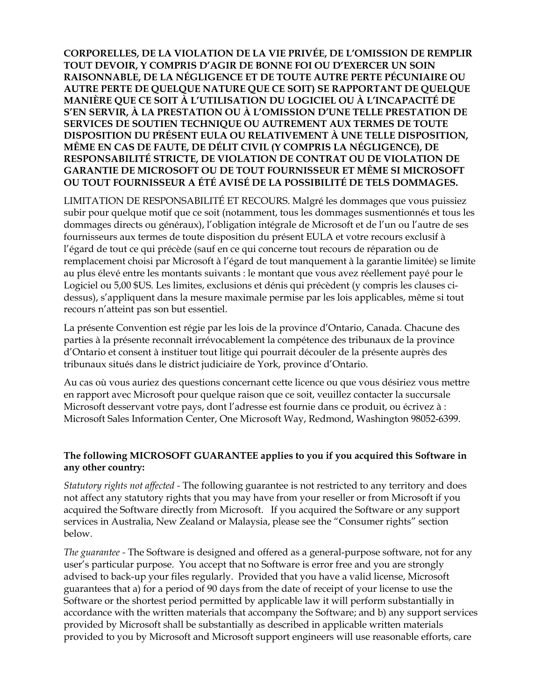CORPORELLES, DE LA VIOLATION DE LA VIE PRIVÉE, DE L'OMISSION DE REMPLIR TOUT DEVOIR, Y COMPRIS D'AGIR DE BONNE FOI OU D'EXERCER UN SOIN RAISONNABLE, DE LA NÉGLIGENCE ET DE TOUTE AUTRE PERTE PÉCUNIAIRE OU AUTRE PERTE DE QUELQUE NATURE QUE CE SOIT) SE RAPPORTANT DE QUELQUE MANIÈRE QUE CE SOIT À L'UTILISATION DU LOGICIEL OU À L'INCAPACITÉ DE S'EN SERVIR, À LA PRESTATION OU À L'OMISSION D'UNE TELLE PRESTATION DE SERVICES DE SOUTIEN TECHNIQUE OU AUTREMENT AUX TERMES DE TOUTE DISPOSITION DU PRÉSENT EULA OU RELATIVEMENT À UNE TELLE DISPOSITION, MÊME EN CAS DE FAUTE, DE DÉLIT CIVIL (Y COMPRIS LA NÉGLIGENCE), DE RESPONSABILITÉ STRICTE, DE VIOLATION DE CONTRAT OU DE VIOLATION DE GARANTIE DE MICROSOFT OU DE TOUT FOURNISSEUR ET MÊME SI MICROSOFT OU TOUT FOURNISSEUR A ÉTÉ AVISÉ DE LA POSSIBILITÉ DE TELS DOMMAGES.

LIMITATION DE RESPONSABILITÉ ET RECOURS. Malgré les dommages que vous puissiez subir pour quelque motif que ce soit (notamment, tous les dommages susmentionnés et tous les dommages directs ou généraux), l'obligation intégrale de Microsoft et de l'un ou l'autre de ses fournisseurs aux termes de toute disposition du présent EULA et votre recours exclusif à l'égard de tout ce qui précède (sauf en ce qui concerne tout recours de réparation ou de remplacement choisi par Microsoft à l'égard de tout manquement à la garantie limitée) se limite au plus élevé entre les montants suivants : le montant que vous avez réellement payé pour le Logiciel ou 5,00 \$US. Les limites, exclusions et dénis qui précèdent (y compris les clauses cidessus), s'appliquent dans la mesure maximale permise par les lois applicables, même si tout recours n'atteint pas son but essentiel.

La présente Convention est régie par les lois de la province d'Ontario, Canada. Chacune des parties à la présente reconnaît irrévocablement la compétence des tribunaux de la province d'Ontario et consent à instituer tout litige qui pourrait découler de la présente auprès des tribunaux situés dans le district judiciaire de York, province d'Ontario.

Au cas où vous auriez des questions concernant cette licence ou que vous désiriez vous mettre en rapport avec Microsoft pour quelque raison que ce soit, veuillez contacter la succursale Microsoft desservant votre pays, dont l'adresse est fournie dans ce produit, ou écrivez à : Microsoft Sales Information Center, One Microsoft Way, Redmond, Washington 98052-6399.

## The following MICROSOFT GUARANTEE applies to you if you acquired this Software in any other country:

Statutory rights not affected - The following guarantee is not restricted to any territory and does not affect any statutory rights that you may have from your reseller or from Microsoft if you acquired the Software directly from Microsoft. If you acquired the Software or any support services in Australia, New Zealand or Malaysia, please see the "Consumer rights" section below.

The guarantee - The Software is designed and offered as a general-purpose software, not for any user's particular purpose. You accept that no Software is error free and you are strongly advised to back-up your files regularly. Provided that you have a valid license, Microsoft guarantees that a) for a period of 90 days from the date of receipt of your license to use the Software or the shortest period permitted by applicable law it will perform substantially in accordance with the written materials that accompany the Software; and b) any support services provided by Microsoft shall be substantially as described in applicable written materials provided to you by Microsoft and Microsoft support engineers will use reasonable efforts, care